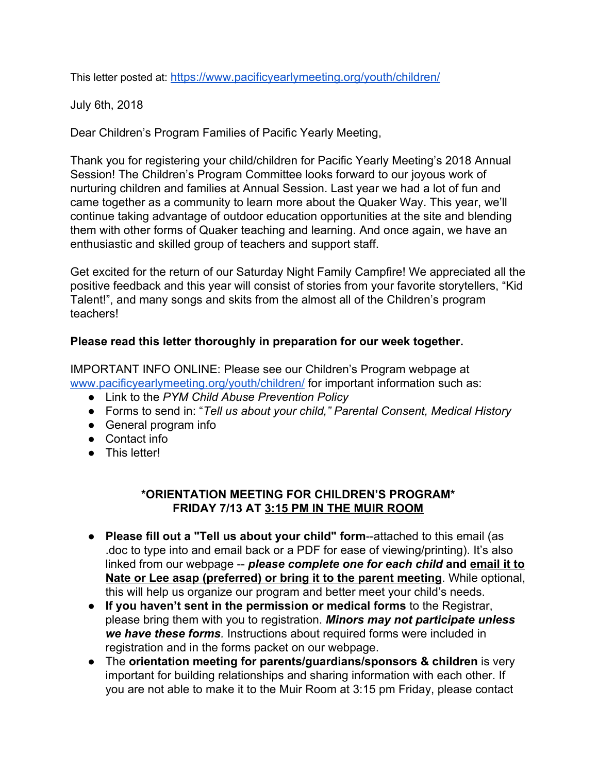This letter posted at: <https://www.pacificyearlymeeting.org/youth/children/>

July 6th, 2018

Dear Children's Program Families of Pacific Yearly Meeting,

Thank you for registering your child/children for Pacific Yearly Meeting's 2018 Annual Session! The Children's Program Committee looks forward to our joyous work of nurturing children and families at Annual Session. Last year we had a lot of fun and came together as a community to learn more about the Quaker Way. This year, we'll continue taking advantage of outdoor education opportunities at the site and blending them with other forms of Quaker teaching and learning. And once again, we have an enthusiastic and skilled group of teachers and support staff.

Get excited for the return of our Saturday Night Family Campfire! We appreciated all the positive feedback and this year will consist of stories from your favorite storytellers, "Kid Talent!", and many songs and skits from the almost all of the Children's program teachers!

## **Please read this letter thoroughly in preparation for our week together.**

IMPORTANT INFO ONLINE: Please see our Children's Program webpage at [www.pacificyearlymeeting.org/youth/children/](https://www.pacificyearlymeeting.org/youth/children/) for important information such as:

- Link to the *PYM Child Abuse Prevention Policy*
- Forms to send in: "*Tell us about your child," Parental Consent, Medical History*
- General program info
- Contact info
- This letter!

## **\*ORIENTATION MEETING FOR CHILDREN'S PROGRAM\* FRIDAY 7/13 AT 3:15 PM IN THE MUIR ROOM**

- **Please fill out a "Tell us about your child" form**--attached to this email (as .doc to type into and email back or a PDF for ease of viewing/printing). It's also linked from our webpage -- *please complete one for each child* **and email it to Nate or Lee asap (preferred) or bring it to the parent meeting**. While optional, this will help us organize our program and better meet your child's needs.
- **If you haven't sent in the permission or medical forms** to the Registrar, please bring them with you to registration. *Minors may not participate unless we have these forms.*  Instructions about required forms were included in registration and in the forms packet on our webpage.
- The **orientation meeting for parents/guardians/sponsors & children** is very important for building relationships and sharing information with each other. If you are not able to make it to the Muir Room at 3:15 pm Friday, please contact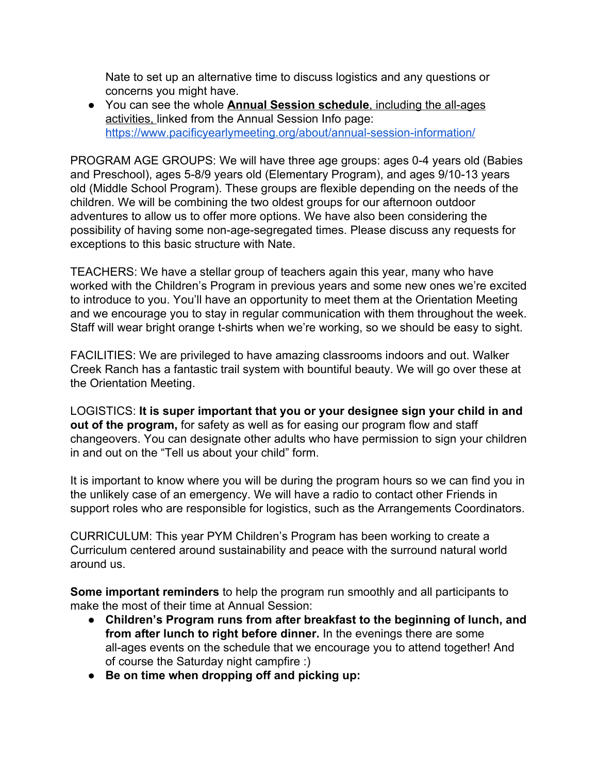Nate to set up an alternative time to discuss logistics and any questions or concerns you might have.

● You can see the whole **Annual Session schedule**, including the all-ages activities, linked from the Annual Session Info page: <https://www.pacificyearlymeeting.org/about/annual-session-information/>

PROGRAM AGE GROUPS: We will have three age groups: ages 0-4 years old (Babies and Preschool), ages 5-8/9 years old (Elementary Program), and ages 9/10-13 years old (Middle School Program). These groups are flexible depending on the needs of the children. We will be combining the two oldest groups for our afternoon outdoor adventures to allow us to offer more options. We have also been considering the possibility of having some non-age-segregated times. Please discuss any requests for exceptions to this basic structure with Nate.

TEACHERS: We have a stellar group of teachers again this year, many who have worked with the Children's Program in previous years and some new ones we're excited to introduce to you. You'll have an opportunity to meet them at the Orientation Meeting and we encourage you to stay in regular communication with them throughout the week. Staff will wear bright orange t-shirts when we're working, so we should be easy to sight.

FACILITIES: We are privileged to have amazing classrooms indoors and out. Walker Creek Ranch has a fantastic trail system with bountiful beauty. We will go over these at the Orientation Meeting.

LOGISTICS: **It is super important that you or your designee sign your child in and out of the program,** for safety as well as for easing our program flow and staff changeovers. You can designate other adults who have permission to sign your children in and out on the "Tell us about your child" form.

It is important to know where you will be during the program hours so we can find you in the unlikely case of an emergency. We will have a radio to contact other Friends in support roles who are responsible for logistics, such as the Arrangements Coordinators.

CURRICULUM: This year PYM Children's Program has been working to create a Curriculum centered around sustainability and peace with the surround natural world around us.

**Some important reminders** to help the program run smoothly and all participants to make the most of their time at Annual Session:

- **Children's Program runs from after breakfast to the beginning of lunch, and from after lunch to right before dinner.** In the evenings there are some all-ages events on the schedule that we encourage you to attend together! And of course the Saturday night campfire :)
- **● Be on time when dropping off and picking up:**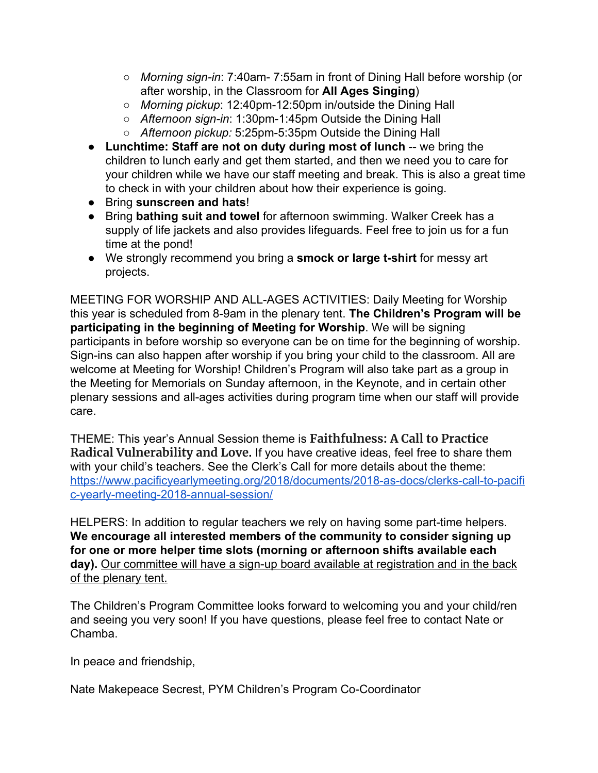- *Morning sign-in*: 7:40am- 7:55am in front of Dining Hall before worship (or after worship, in the Classroom for **All Ages Singing**)
- *Morning pickup*: 12:40pm-12:50pm in/outside the Dining Hall
- *Afternoon sign-in*: 1:30pm-1:45pm Outside the Dining Hall
- *Afternoon pickup:* 5:25pm-5:35pm Outside the Dining Hall
- **Lunchtime: Staff are not on duty during most of lunch** -- we bring the children to lunch early and get them started, and then we need you to care for your children while we have our staff meeting and break. This is also a great time to check in with your children about how their experience is going.
- Bring **sunscreen and hats**!
- Bring **bathing suit and towel** for afternoon swimming. Walker Creek has a supply of life jackets and also provides lifeguards. Feel free to join us for a fun time at the pond!
- We strongly recommend you bring a **smock or large t-shirt** for messy art projects.

MEETING FOR WORSHIP AND ALL-AGES ACTIVITIES: Daily Meeting for Worship this year is scheduled from 8-9am in the plenary tent. **The Children's Program will be participating in the beginning of Meeting for Worship**. We will be signing participants in before worship so everyone can be on time for the beginning of worship. Sign-ins can also happen after worship if you bring your child to the classroom. All are welcome at Meeting for Worship! Children's Program will also take part as a group in the Meeting for Memorials on Sunday afternoon, in the Keynote, and in certain other plenary sessions and all-ages activities during program time when our staff will provide care.

THEME: This year's Annual Session theme is **Faithfulness: A Call to Practice Radical Vulnerability and Love.** If you have creative ideas, feel free to share them with your child's teachers. See the Clerk's Call for more details about the theme: [https://www.pacificyearlymeeting.org/2018/documents/2018-as-docs/clerks-call-to-pacifi](https://www.pacificyearlymeeting.org/2018/documents/2018-as-docs/clerks-call-to-pacific-yearly-meeting-2018-annual-session/) [c-yearly-meeting-2018-annual-session/](https://www.pacificyearlymeeting.org/2018/documents/2018-as-docs/clerks-call-to-pacific-yearly-meeting-2018-annual-session/)

HELPERS: In addition to regular teachers we rely on having some part-time helpers. **We encourage all interested members of the community to consider signing up for one or more helper time slots (morning or afternoon shifts available each day).** Our committee will have a sign-up board available at registration and in the back of the plenary tent.

The Children's Program Committee looks forward to welcoming you and your child/ren and seeing you very soon! If you have questions, please feel free to contact Nate or Chamba.

In peace and friendship,

Nate Makepeace Secrest, PYM Children's Program Co-Coordinator